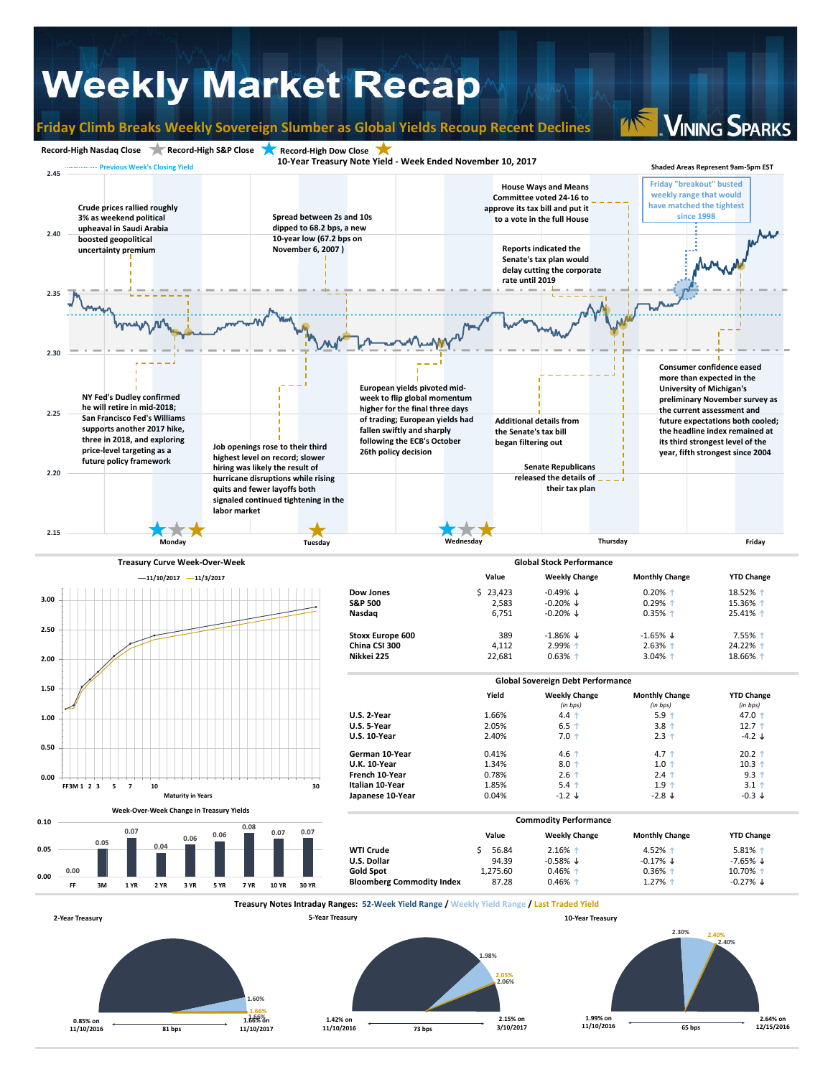## **Weekly Market Recap**

**1.66% 1.66% 1.66% on** 

**1.42% on 11/10/2016**

**2.15% on** 

**1.99% on 11/10/2016** **2.64% on** 

**65 bps 12/15/2016**

**73 bps 3/10/2017**

**81 bps 11/10/2017**

**0.85% on 11/10/2016**

**Friday Climb Breaks Weekly Sovereign Slumber as Global Yields Recoup Recent Declines**

**VINING SPARKS**